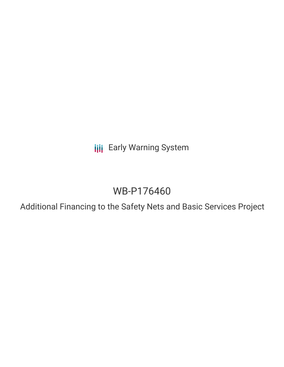**III** Early Warning System

# WB-P176460

Additional Financing to the Safety Nets and Basic Services Project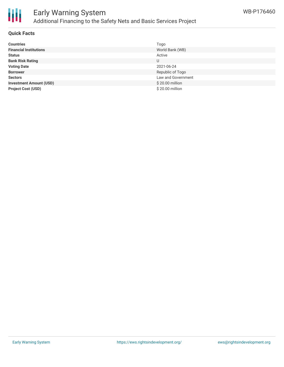

# Early Warning System Additional Financing to the Safety Nets and Basic Services Project

#### **Quick Facts**

| <b>Countries</b>               | Togo               |
|--------------------------------|--------------------|
| <b>Financial Institutions</b>  | World Bank (WB)    |
| <b>Status</b>                  | Active             |
| <b>Bank Risk Rating</b>        | U                  |
| <b>Voting Date</b>             | 2021-06-24         |
| <b>Borrower</b>                | Republic of Togo   |
| <b>Sectors</b>                 | Law and Government |
| <b>Investment Amount (USD)</b> | \$20.00 million    |
| <b>Project Cost (USD)</b>      | \$20.00 million    |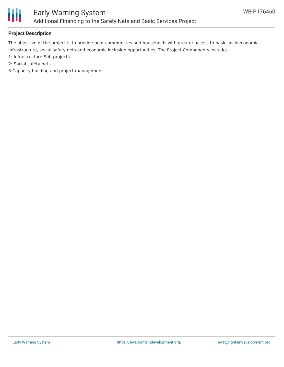

## **Project Description**

The objective of the project is to provide poor communities and households with greater access to basic socioeconomic infrastructure, social safety nets and economic inclusion opportunities. The Project Components include;

- 1: Infrastructure Sub-projects
- 2: Social safety nets
- 3:Capacity building and project management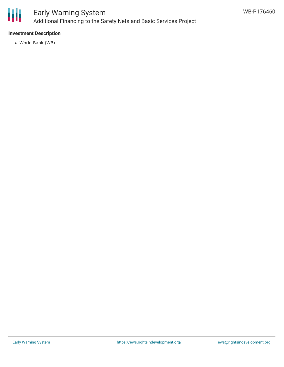

## **Investment Description**

World Bank (WB)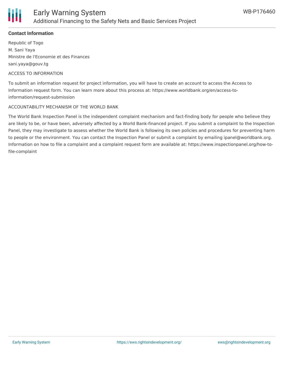

## **Contact Information**

Republic of Togo M. Sani Yaya Ministre de l'Economie et des Finances sani.yaya@gouv.tg

#### ACCESS TO INFORMATION

To submit an information request for project information, you will have to create an account to access the Access to Information request form. You can learn more about this process at: https://www.worldbank.org/en/access-toinformation/request-submission

#### ACCOUNTABILITY MECHANISM OF THE WORLD BANK

The World Bank Inspection Panel is the independent complaint mechanism and fact-finding body for people who believe they are likely to be, or have been, adversely affected by a World Bank-financed project. If you submit a complaint to the Inspection Panel, they may investigate to assess whether the World Bank is following its own policies and procedures for preventing harm to people or the environment. You can contact the Inspection Panel or submit a complaint by emailing ipanel@worldbank.org. Information on how to file a complaint and a complaint request form are available at: https://www.inspectionpanel.org/how-tofile-complaint